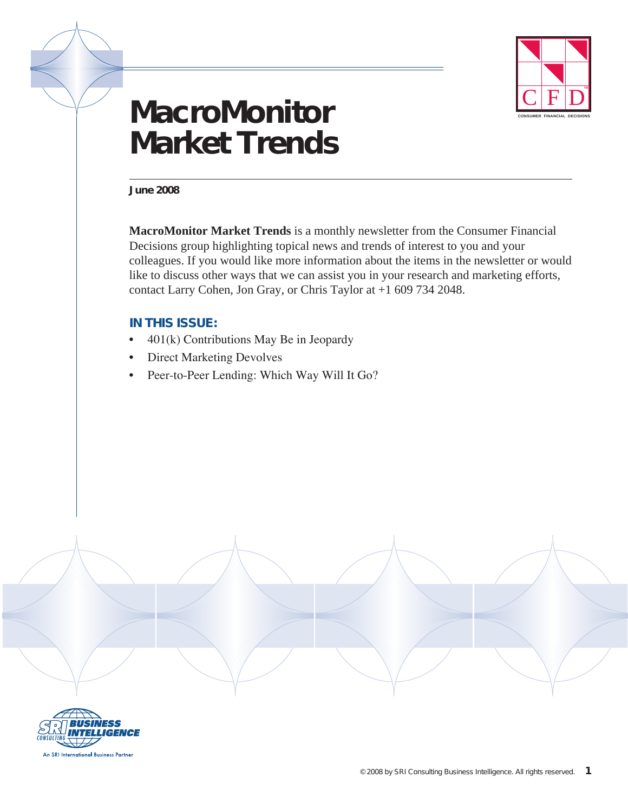

# **MacroMonitor Market Trends**

**June 2008**

**MacroMonitor Market Trends** is a monthly newsletter from the Consumer Financial Decisions group highlighting topical news and trends of interest to you and your colleagues. If you would like more information about the items in the newsletter or would like to discuss other ways that we can assist you in your research and marketing efforts, contact Larry Cohen, Jon Gray, or Chris Taylor at +1 609 734 2048.

# **In this issue:**

- $\bullet$  401(k) Contributions May Be in Jeopardy
- **Direct Marketing Devolves**
- Peer-to-Peer Lending: Which Way Will It Go?

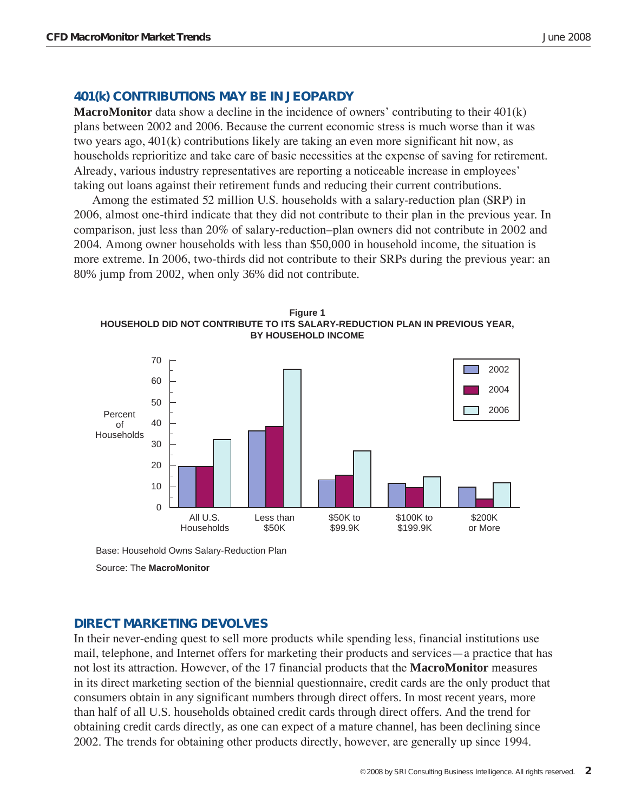# **401(k) Contributions May be In Jeopardy**

**MacroMonitor** data show a decline in the incidence of owners' contributing to their 401(k) plans between 2002 and 2006. Because the current economic stress is much worse than it was two years ago, 401(k) contributions likely are taking an even more significant hit now, as households reprioritize and take care of basic necessities at the expense of saving for retirement. Already, various industry representatives are reporting a noticeable increase in employees' taking out loans against their retirement funds and reducing their current contributions.

Among the estimated 52 million U.S. households with a salary-reduction plan (SRP) in 2006, almost one-third indicate that they did not contribute to their plan in the previous year. In comparison, just less than 20% of salary-reduction–plan owners did not contribute in 2002 and 2004. Among owner households with less than \$50,000 in household income, the situation is more extreme. In 2006, two-thirds did not contribute to their SRPs during the previous year: an 80% jump from 2002, when only 36% did not contribute.





Base: Household Owns Salary-Reduction Plan

Source: The **MacroMonitor**

### **Direct Marketing Devolves**

In their never-ending quest to sell more products while spending less, financial institutions use mail, telephone, and Internet offers for marketing their products and services—a practice that has not lost its attraction. However, of the 17 financial products that the **MacroMonitor** measures in its direct marketing section of the biennial questionnaire, credit cards are the only product that consumers obtain in any significant numbers through direct offers. In most recent years, more than half of all U.S. households obtained credit cards through direct offers. And the trend for obtaining credit cards directly, as one can expect of a mature channel, has been declining since 2002. The trends for obtaining other products directly, however, are generally up since 1994.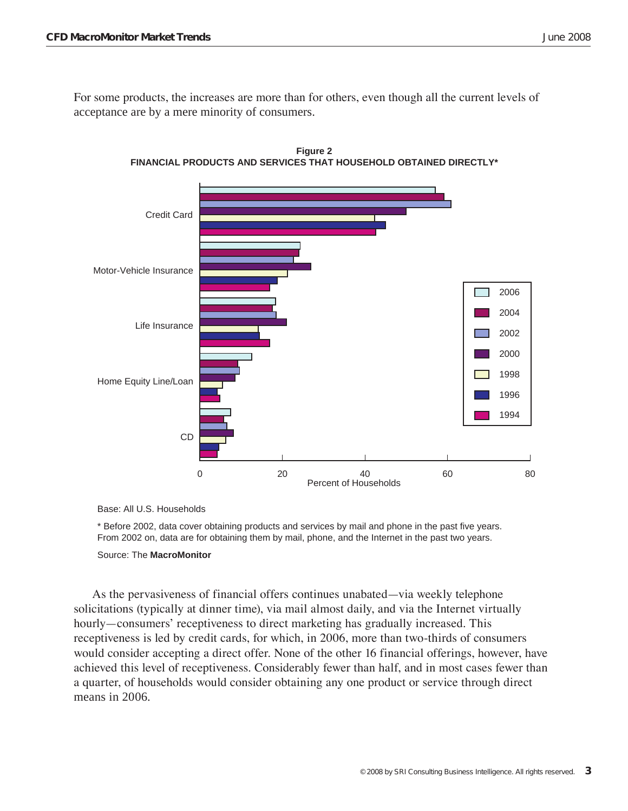For some products, the increases are more than for others, even though all the current levels of acceptance are by a mere minority of consumers.



**Figure 2 FINANCIAL PRODUCTS AND SERVICES THAT HOUSEHOLD OBTAINED DIRECTLY\***

Base: All U.S. Households

\* Before 2002, data cover obtaining products and services by mail and phone in the past five years. From 2002 on, data are for obtaining them by mail, phone, and the Internet in the past two years.

#### Source: The **MacroMonitor**

As the pervasiveness of financial offers continues unabated—via weekly telephone solicitations (typically at dinner time), via mail almost daily, and via the Internet virtually hourly—consumers' receptiveness to direct marketing has gradually increased. This receptiveness is led by credit cards, for which, in 2006, more than two-thirds of consumers would consider accepting a direct offer. None of the other 16 financial offerings, however, have achieved this level of receptiveness. Considerably fewer than half, and in most cases fewer than a quarter, of households would consider obtaining any one product or service through direct means in 2006.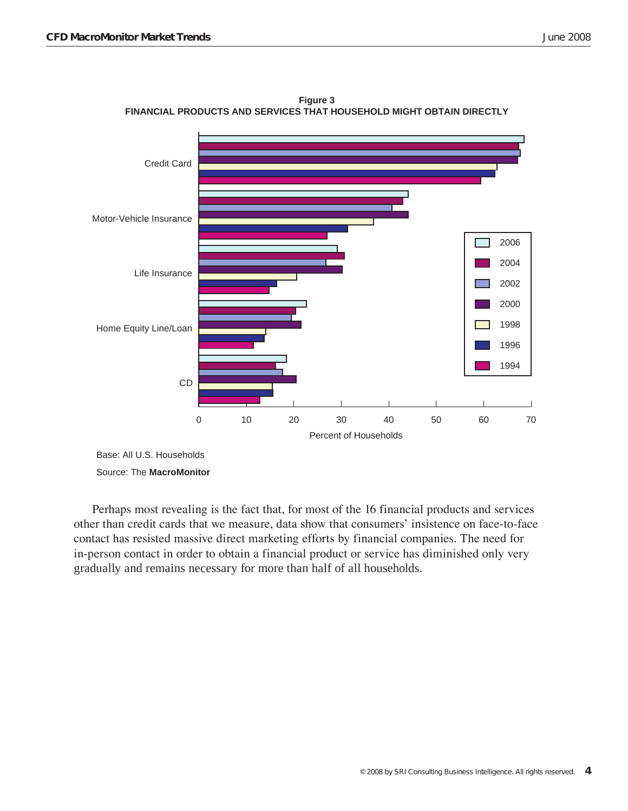

**Figure 3 FINANCIAL PRODUCTS AND SERVICES THAT HOUSEHOLD MIGHT OBTAIN DIRECTLY**

Source: The **MacroMonitor**

Perhaps most revealing is the fact that, for most of the 16 financial products and services other than credit cards that we measure, data show that consumers' insistence on face-to-face contact has resisted massive direct marketing efforts by financial companies. The need for in-person contact in order to obtain a financial product or service has diminished only very gradually and remains necessary for more than half of all households.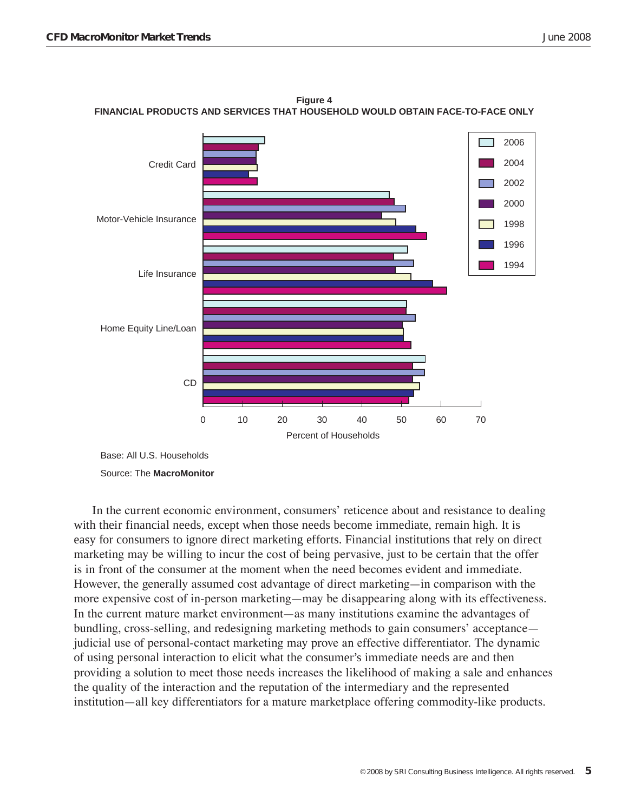

**Figure 4 FINANCIAL PRODUCTS AND SERVICES THAT HOUSEHOLD WOULD OBTAIN FACE-TO-FACE ONLY**

Base: All U.S. Households Source: The **MacroMonitor**

In the current economic environment, consumers' reticence about and resistance to dealing with their financial needs, except when those needs become immediate, remain high. It is easy for consumers to ignore direct marketing efforts. Financial institutions that rely on direct marketing may be willing to incur the cost of being pervasive, just to be certain that the offer is in front of the consumer at the moment when the need becomes evident and immediate. However, the generally assumed cost advantage of direct marketing—in comparison with the more expensive cost of in-person marketing—may be disappearing along with its effectiveness. In the current mature market environment—as many institutions examine the advantages of bundling, cross-selling, and redesigning marketing methods to gain consumers' acceptance judicial use of personal-contact marketing may prove an effective differentiator. The dynamic of using personal interaction to elicit what the consumer's immediate needs are and then providing a solution to meet those needs increases the likelihood of making a sale and enhances the quality of the interaction and the reputation of the intermediary and the represented institution—all key differentiators for a mature marketplace offering commodity-like products.